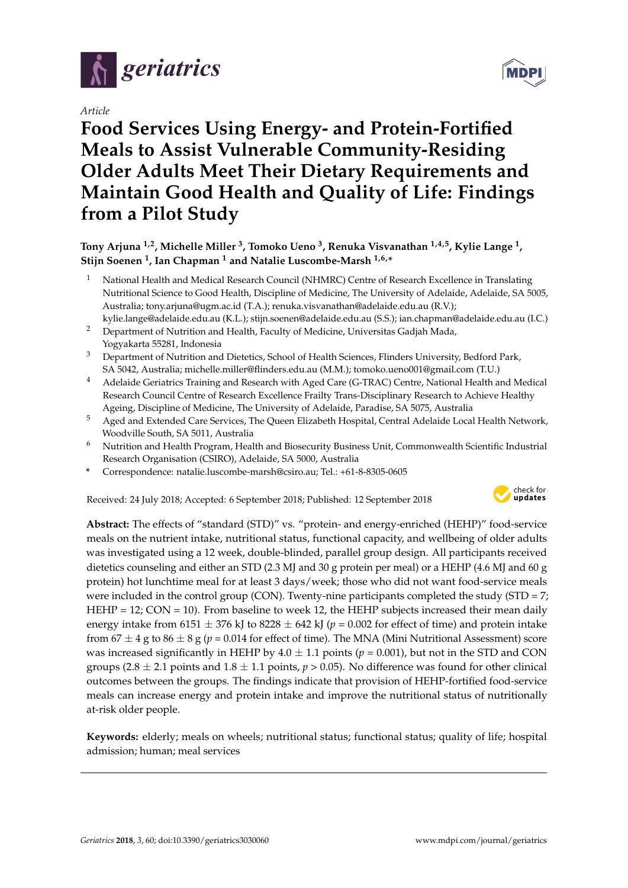

*Article*

# **Food Services Using Energy- and Protein-Fortified Meals to Assist Vulnerable Community-Residing Older Adults Meet Their Dietary Requirements and Maintain Good Health and Quality of Life: Findings from a Pilot Study**

**Tony Arjuna 1,2, Michelle Miller <sup>3</sup> , Tomoko Ueno <sup>3</sup> , Renuka Visvanathan 1,4,5, Kylie Lange <sup>1</sup> , Stijn Soenen <sup>1</sup> , Ian Chapman <sup>1</sup> and Natalie Luscombe-Marsh 1,6,\***

- <sup>1</sup> National Health and Medical Research Council (NHMRC) Centre of Research Excellence in Translating Nutritional Science to Good Health, Discipline of Medicine, The University of Adelaide, Adelaide, SA 5005, Australia; tony.arjuna@ugm.ac.id (T.A.); renuka.visvanathan@adelaide.edu.au (R.V.); kylie.lange@adelaide.edu.au (K.L.); stijn.soenen@adelaide.edu.au (S.S.); ian.chapman@adelaide.edu.au (I.C.)
- <sup>2</sup> Department of Nutrition and Health, Faculty of Medicine, Universitas Gadjah Mada, Yogyakarta 55281, Indonesia
- <sup>3</sup> Department of Nutrition and Dietetics, School of Health Sciences, Flinders University, Bedford Park, SA 5042, Australia; michelle.miller@flinders.edu.au (M.M.); tomoko.ueno001@gmail.com (T.U.)
- <sup>4</sup> Adelaide Geriatrics Training and Research with Aged Care (G-TRAC) Centre, National Health and Medical Research Council Centre of Research Excellence Frailty Trans-Disciplinary Research to Achieve Healthy Ageing, Discipline of Medicine, The University of Adelaide, Paradise, SA 5075, Australia
- <sup>5</sup> Aged and Extended Care Services, The Queen Elizabeth Hospital, Central Adelaide Local Health Network, Woodville South, SA 5011, Australia
- <sup>6</sup> Nutrition and Health Program, Health and Biosecurity Business Unit, Commonwealth Scientific Industrial Research Organisation (CSIRO), Adelaide, SA 5000, Australia
- **\*** Correspondence: natalie.luscombe-marsh@csiro.au; Tel.: +61-8-8305-0605

Received: 24 July 2018; Accepted: 6 September 2018; Published: 12 September 2018



**Abstract:** The effects of "standard (STD)" vs. "protein- and energy-enriched (HEHP)" food-service meals on the nutrient intake, nutritional status, functional capacity, and wellbeing of older adults was investigated using a 12 week, double-blinded, parallel group design. All participants received dietetics counseling and either an STD (2.3 MJ and 30 g protein per meal) or a HEHP (4.6 MJ and 60 g protein) hot lunchtime meal for at least 3 days/week; those who did not want food-service meals were included in the control group (CON). Twenty-nine participants completed the study (STD =  $7$ ; HEHP = 12;  $CON = 10$ ). From baseline to week 12, the HEHP subjects increased their mean daily energy intake from 6151  $\pm$  376 kJ to 8228  $\pm$  642 kJ ( $p = 0.002$  for effect of time) and protein intake from  $67 \pm 4$  g to  $86 \pm 8$  g ( $p = 0.014$  for effect of time). The MNA (Mini Nutritional Assessment) score was increased significantly in HEHP by  $4.0 \pm 1.1$  points ( $p = 0.001$ ), but not in the STD and CON groups (2.8  $\pm$  2.1 points and 1.8  $\pm$  1.1 points, *p* > 0.05). No difference was found for other clinical outcomes between the groups. The findings indicate that provision of HEHP-fortified food-service meals can increase energy and protein intake and improve the nutritional status of nutritionally at-risk older people.

**Keywords:** elderly; meals on wheels; nutritional status; functional status; quality of life; hospital admission; human; meal services

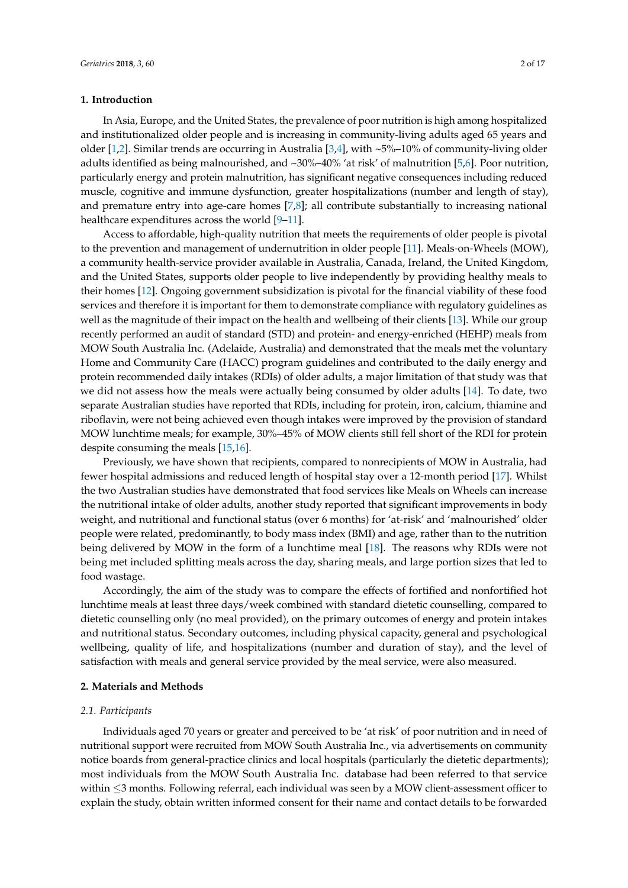## **1. Introduction**

In Asia, Europe, and the United States, the prevalence of poor nutrition is high among hospitalized and institutionalized older people and is increasing in community-living adults aged 65 years and older [\[1,](#page-14-0)[2\]](#page-14-1). Similar trends are occurring in Australia [\[3](#page-14-2)[,4\]](#page-14-3), with  $\sim$  5%–10% of community-living older adults identified as being malnourished, and ~30%–40% 'at risk' of malnutrition [\[5,](#page-14-4)[6\]](#page-14-5). Poor nutrition, particularly energy and protein malnutrition, has significant negative consequences including reduced muscle, cognitive and immune dysfunction, greater hospitalizations (number and length of stay), and premature entry into age-care homes [\[7,](#page-14-6)[8\]](#page-15-0); all contribute substantially to increasing national healthcare expenditures across the world [\[9–](#page-15-1)[11\]](#page-15-2).

Access to affordable, high-quality nutrition that meets the requirements of older people is pivotal to the prevention and management of undernutrition in older people [\[11\]](#page-15-2). Meals-on-Wheels (MOW), a community health-service provider available in Australia, Canada, Ireland, the United Kingdom, and the United States, supports older people to live independently by providing healthy meals to their homes [\[12\]](#page-15-3). Ongoing government subsidization is pivotal for the financial viability of these food services and therefore it is important for them to demonstrate compliance with regulatory guidelines as well as the magnitude of their impact on the health and wellbeing of their clients [\[13\]](#page-15-4). While our group recently performed an audit of standard (STD) and protein- and energy-enriched (HEHP) meals from MOW South Australia Inc. (Adelaide, Australia) and demonstrated that the meals met the voluntary Home and Community Care (HACC) program guidelines and contributed to the daily energy and protein recommended daily intakes (RDIs) of older adults, a major limitation of that study was that we did not assess how the meals were actually being consumed by older adults [\[14\]](#page-15-5). To date, two separate Australian studies have reported that RDIs, including for protein, iron, calcium, thiamine and riboflavin, were not being achieved even though intakes were improved by the provision of standard MOW lunchtime meals; for example, 30%–45% of MOW clients still fell short of the RDI for protein despite consuming the meals [\[15,](#page-15-6)[16\]](#page-15-7).

Previously, we have shown that recipients, compared to nonrecipients of MOW in Australia, had fewer hospital admissions and reduced length of hospital stay over a 12-month period [\[17\]](#page-15-8). Whilst the two Australian studies have demonstrated that food services like Meals on Wheels can increase the nutritional intake of older adults, another study reported that significant improvements in body weight, and nutritional and functional status (over 6 months) for 'at-risk' and 'malnourished' older people were related, predominantly, to body mass index (BMI) and age, rather than to the nutrition being delivered by MOW in the form of a lunchtime meal [\[18\]](#page-15-9). The reasons why RDIs were not being met included splitting meals across the day, sharing meals, and large portion sizes that led to food wastage.

Accordingly, the aim of the study was to compare the effects of fortified and nonfortified hot lunchtime meals at least three days/week combined with standard dietetic counselling, compared to dietetic counselling only (no meal provided), on the primary outcomes of energy and protein intakes and nutritional status. Secondary outcomes, including physical capacity, general and psychological wellbeing, quality of life, and hospitalizations (number and duration of stay), and the level of satisfaction with meals and general service provided by the meal service, were also measured.

## **2. Materials and Methods**

# *2.1. Participants*

Individuals aged 70 years or greater and perceived to be 'at risk' of poor nutrition and in need of nutritional support were recruited from MOW South Australia Inc., via advertisements on community notice boards from general-practice clinics and local hospitals (particularly the dietetic departments); most individuals from the MOW South Australia Inc. database had been referred to that service within ≤3 months. Following referral, each individual was seen by a MOW client-assessment officer to explain the study, obtain written informed consent for their name and contact details to be forwarded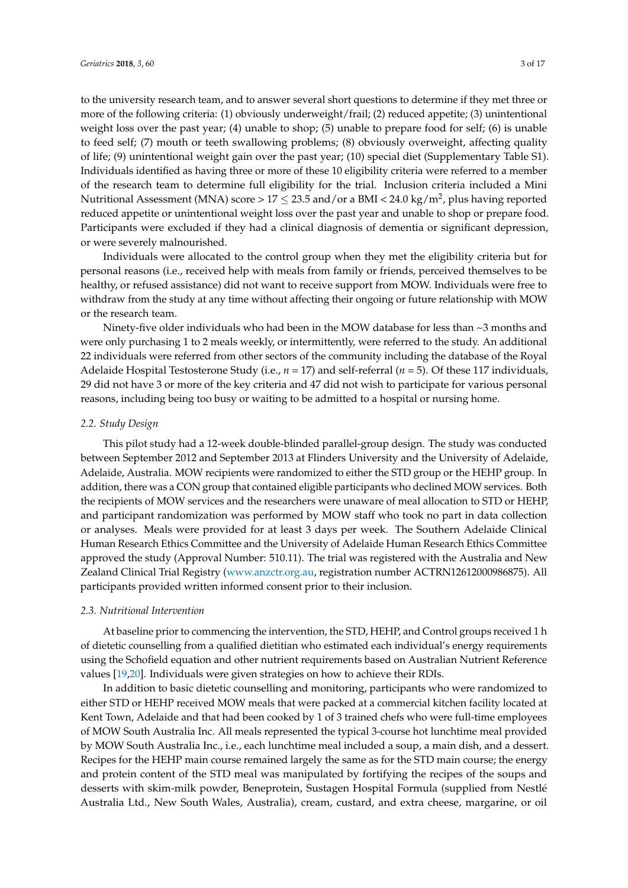to the university research team, and to answer several short questions to determine if they met three or more of the following criteria: (1) obviously underweight/frail; (2) reduced appetite; (3) unintentional weight loss over the past year; (4) unable to shop; (5) unable to prepare food for self; (6) is unable to feed self; (7) mouth or teeth swallowing problems; (8) obviously overweight, affecting quality of life; (9) unintentional weight gain over the past year; (10) special diet (Supplementary Table S1). Individuals identified as having three or more of these 10 eligibility criteria were referred to a member of the research team to determine full eligibility for the trial. Inclusion criteria included a Mini Nutritional Assessment (MNA) score > 17  $\leq$  23.5 and/or a BMI < 24.0 kg/m<sup>2</sup>, plus having reported reduced appetite or unintentional weight loss over the past year and unable to shop or prepare food. Participants were excluded if they had a clinical diagnosis of dementia or significant depression, or were severely malnourished.

Individuals were allocated to the control group when they met the eligibility criteria but for personal reasons (i.e., received help with meals from family or friends, perceived themselves to be healthy, or refused assistance) did not want to receive support from MOW. Individuals were free to withdraw from the study at any time without affecting their ongoing or future relationship with MOW or the research team.

Ninety-five older individuals who had been in the MOW database for less than  $\sim$ 3 months and were only purchasing 1 to 2 meals weekly, or intermittently, were referred to the study. An additional 22 individuals were referred from other sectors of the community including the database of the Royal Adelaide Hospital Testosterone Study (i.e., *n* = 17) and self-referral (*n* = 5). Of these 117 individuals, 29 did not have 3 or more of the key criteria and 47 did not wish to participate for various personal reasons, including being too busy or waiting to be admitted to a hospital or nursing home.

## *2.2. Study Design*

This pilot study had a 12-week double-blinded parallel-group design. The study was conducted between September 2012 and September 2013 at Flinders University and the University of Adelaide, Adelaide, Australia. MOW recipients were randomized to either the STD group or the HEHP group. In addition, there was a CON group that contained eligible participants who declined MOW services. Both the recipients of MOW services and the researchers were unaware of meal allocation to STD or HEHP, and participant randomization was performed by MOW staff who took no part in data collection or analyses. Meals were provided for at least 3 days per week. The Southern Adelaide Clinical Human Research Ethics Committee and the University of Adelaide Human Research Ethics Committee approved the study (Approval Number: 510.11). The trial was registered with the Australia and New Zealand Clinical Trial Registry [\(www.anzctr.org.au,](www.anzctr.org.au) registration number ACTRN12612000986875). All participants provided written informed consent prior to their inclusion.

#### *2.3. Nutritional Intervention*

At baseline prior to commencing the intervention, the STD, HEHP, and Control groups received 1 h of dietetic counselling from a qualified dietitian who estimated each individual's energy requirements using the Schofield equation and other nutrient requirements based on Australian Nutrient Reference values [\[19,](#page-15-10)[20\]](#page-15-11). Individuals were given strategies on how to achieve their RDIs.

In addition to basic dietetic counselling and monitoring, participants who were randomized to either STD or HEHP received MOW meals that were packed at a commercial kitchen facility located at Kent Town, Adelaide and that had been cooked by 1 of 3 trained chefs who were full-time employees of MOW South Australia Inc. All meals represented the typical 3-course hot lunchtime meal provided by MOW South Australia Inc., i.e., each lunchtime meal included a soup, a main dish, and a dessert. Recipes for the HEHP main course remained largely the same as for the STD main course; the energy and protein content of the STD meal was manipulated by fortifying the recipes of the soups and desserts with skim-milk powder, Beneprotein, Sustagen Hospital Formula (supplied from Nestlé Australia Ltd., New South Wales, Australia), cream, custard, and extra cheese, margarine, or oil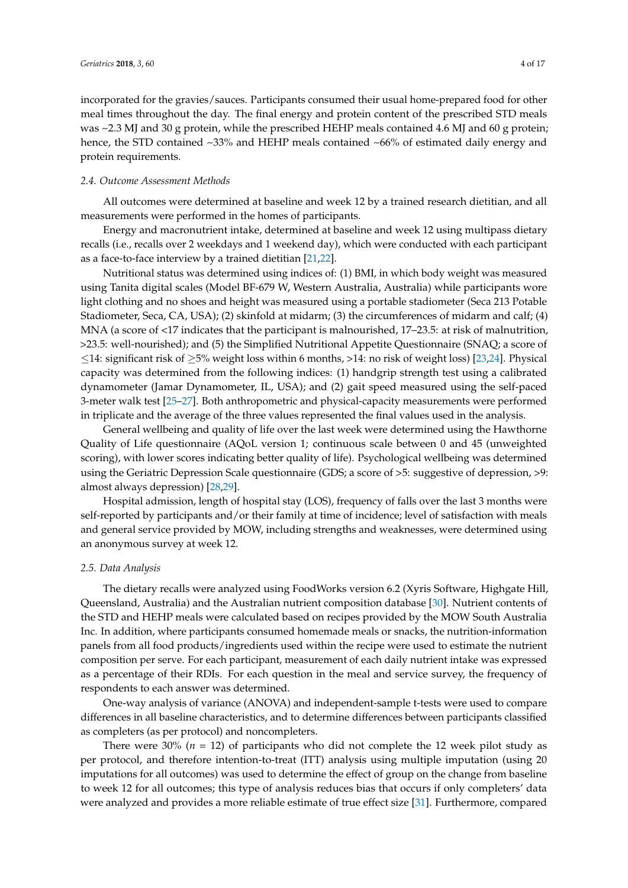incorporated for the gravies/sauces. Participants consumed their usual home-prepared food for other meal times throughout the day. The final energy and protein content of the prescribed STD meals was ~2.3 MJ and 30 g protein, while the prescribed HEHP meals contained 4.6 MJ and 60 g protein; hence, the STD contained ~33% and HEHP meals contained ~66% of estimated daily energy and protein requirements.

## *2.4. Outcome Assessment Methods*

All outcomes were determined at baseline and week 12 by a trained research dietitian, and all measurements were performed in the homes of participants.

Energy and macronutrient intake, determined at baseline and week 12 using multipass dietary recalls (i.e., recalls over 2 weekdays and 1 weekend day), which were conducted with each participant as a face-to-face interview by a trained dietitian [\[21,](#page-15-12)[22\]](#page-15-13).

Nutritional status was determined using indices of: (1) BMI, in which body weight was measured using Tanita digital scales (Model BF-679 W, Western Australia, Australia) while participants wore light clothing and no shoes and height was measured using a portable stadiometer (Seca 213 Potable Stadiometer, Seca, CA, USA); (2) skinfold at midarm; (3) the circumferences of midarm and calf; (4) MNA (a score of <17 indicates that the participant is malnourished, 17–23.5: at risk of malnutrition, >23.5: well-nourished); and (5) the Simplified Nutritional Appetite Questionnaire (SNAQ; a score of ≤14: significant risk of ≥5% weight loss within 6 months, >14: no risk of weight loss) [\[23](#page-15-14)[,24\]](#page-15-15). Physical capacity was determined from the following indices: (1) handgrip strength test using a calibrated dynamometer (Jamar Dynamometer, IL, USA); and (2) gait speed measured using the self-paced 3-meter walk test [\[25–](#page-15-16)[27\]](#page-15-17). Both anthropometric and physical-capacity measurements were performed in triplicate and the average of the three values represented the final values used in the analysis.

General wellbeing and quality of life over the last week were determined using the Hawthorne Quality of Life questionnaire (AQoL version 1; continuous scale between 0 and 45 (unweighted scoring), with lower scores indicating better quality of life). Psychological wellbeing was determined using the Geriatric Depression Scale questionnaire (GDS; a score of >5: suggestive of depression, >9: almost always depression) [\[28,](#page-15-18)[29\]](#page-16-0).

Hospital admission, length of hospital stay (LOS), frequency of falls over the last 3 months were self-reported by participants and/or their family at time of incidence; level of satisfaction with meals and general service provided by MOW, including strengths and weaknesses, were determined using an anonymous survey at week 12.

## *2.5. Data Analysis*

The dietary recalls were analyzed using FoodWorks version 6.2 (Xyris Software, Highgate Hill, Queensland, Australia) and the Australian nutrient composition database [\[30\]](#page-16-1). Nutrient contents of the STD and HEHP meals were calculated based on recipes provided by the MOW South Australia Inc. In addition, where participants consumed homemade meals or snacks, the nutrition-information panels from all food products/ingredients used within the recipe were used to estimate the nutrient composition per serve. For each participant, measurement of each daily nutrient intake was expressed as a percentage of their RDIs. For each question in the meal and service survey, the frequency of respondents to each answer was determined.

One-way analysis of variance (ANOVA) and independent-sample t-tests were used to compare differences in all baseline characteristics, and to determine differences between participants classified as completers (as per protocol) and noncompleters.

There were  $30\%$  ( $n = 12$ ) of participants who did not complete the 12 week pilot study as per protocol, and therefore intention-to-treat (ITT) analysis using multiple imputation (using 20 imputations for all outcomes) was used to determine the effect of group on the change from baseline to week 12 for all outcomes; this type of analysis reduces bias that occurs if only completers' data were analyzed and provides a more reliable estimate of true effect size [\[31\]](#page-16-2). Furthermore, compared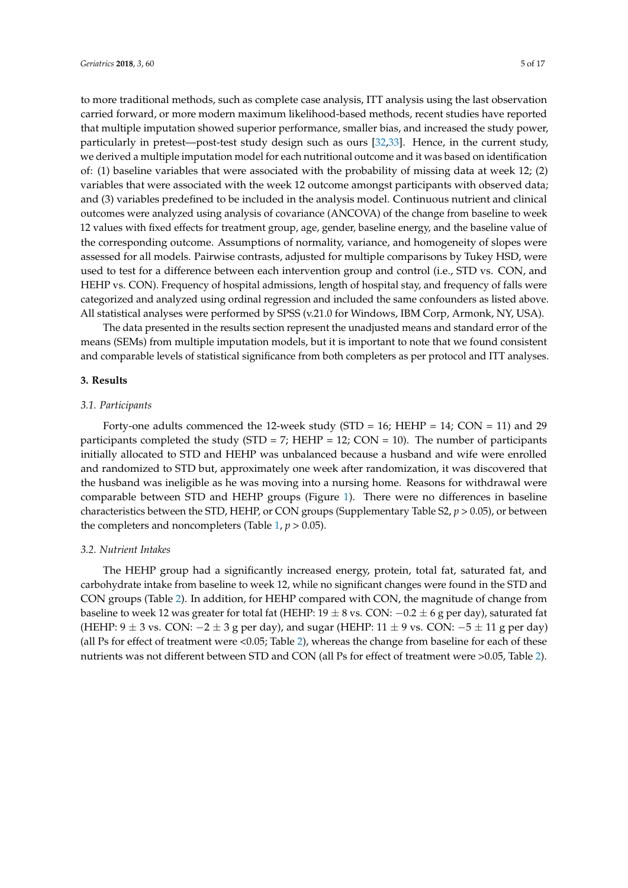to more traditional methods, such as complete case analysis, ITT analysis using the last observation carried forward, or more modern maximum likelihood-based methods, recent studies have reported that multiple imputation showed superior performance, smaller bias, and increased the study power, particularly in pretest—post-test study design such as ours [\[32](#page-16-3)[,33\]](#page-16-4). Hence, in the current study, we derived a multiple imputation model for each nutritional outcome and it was based on identification of: (1) baseline variables that were associated with the probability of missing data at week 12; (2) variables that were associated with the week 12 outcome amongst participants with observed data; and (3) variables predefined to be included in the analysis model. Continuous nutrient and clinical outcomes were analyzed using analysis of covariance (ANCOVA) of the change from baseline to week 12 values with fixed effects for treatment group, age, gender, baseline energy, and the baseline value of the corresponding outcome. Assumptions of normality, variance, and homogeneity of slopes were assessed for all models. Pairwise contrasts, adjusted for multiple comparisons by Tukey HSD, were used to test for a difference between each intervention group and control (i.e., STD vs. CON, and HEHP vs. CON). Frequency of hospital admissions, length of hospital stay, and frequency of falls were categorized and analyzed using ordinal regression and included the same confounders as listed above. All statistical analyses were performed by SPSS (v.21.0 for Windows, IBM Corp, Armonk, NY, USA).

The data presented in the results section represent the unadjusted means and standard error of the means (SEMs) from multiple imputation models, but it is important to note that we found consistent and comparable levels of statistical significance from both completers as per protocol and ITT analyses.

## **3. Results**

#### *3.1. Participants*

Forty-one adults commenced the 12-week study (STD = 16; HEHP = 14; CON = 11) and 29 participants completed the study (STD = 7; HEHP = 12; CON = 10). The number of participants initially allocated to STD and HEHP was unbalanced because a husband and wife were enrolled and randomized to STD but, approximately one week after randomization, it was discovered that the husband was ineligible as he was moving into a nursing home. Reasons for withdrawal were comparable between STD and HEHP groups (Figure [1\)](#page-6-0). There were no differences in baseline characteristics between the STD, HEHP, or CON groups (Supplementary Table S2, *p* > 0.05), or between the completers and noncompleters (Table  $1, p > 0.05$  $1, p > 0.05$ ).

## *3.2. Nutrient Intakes*

The HEHP group had a significantly increased energy, protein, total fat, saturated fat, and carbohydrate intake from baseline to week 12, while no significant changes were found in the STD and CON groups (Table [2\)](#page-7-0). In addition, for HEHP compared with CON, the magnitude of change from baseline to week 12 was greater for total fat (HEHP:  $19 \pm 8$  vs. CON:  $-0.2 \pm 6$  g per day), saturated fat (HEHP:  $9 \pm 3$  vs. CON:  $-2 \pm 3$  g per day), and sugar (HEHP:  $11 \pm 9$  vs. CON:  $-5 \pm 11$  g per day) (all Ps for effect of treatment were <0.05; Table [2\)](#page-7-0), whereas the change from baseline for each of these nutrients was not different between STD and CON (all Ps for effect of treatment were >0.05, Table [2\)](#page-7-0).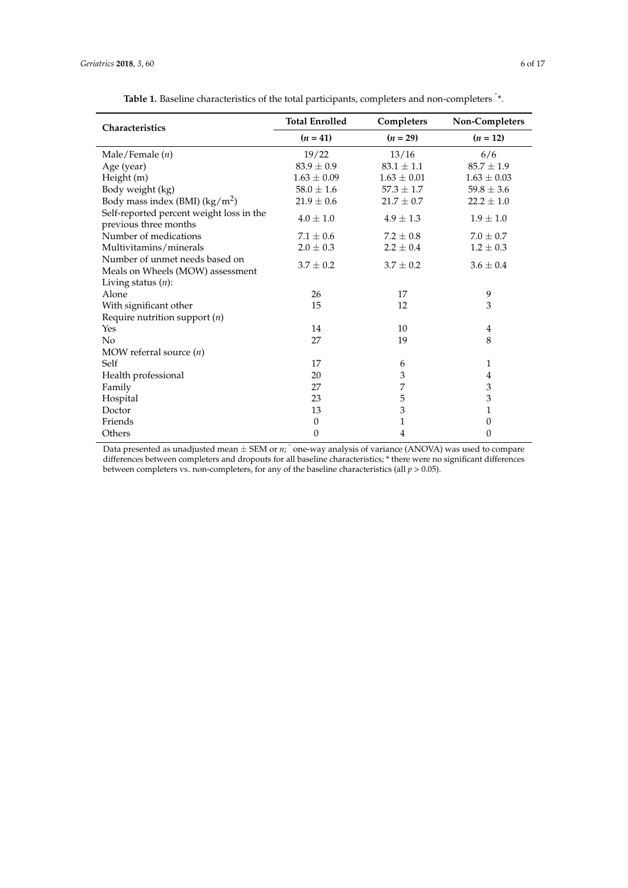<span id="page-5-0"></span>

| Characteristics                                                    | <b>Total Enrolled</b> | Completers      | Non-Completers  |
|--------------------------------------------------------------------|-----------------------|-----------------|-----------------|
|                                                                    | $(n = 41)$            | $(n = 29)$      | $(n = 12)$      |
| Male/Female $(n)$                                                  | 19/22                 | 13/16           | 6/6             |
| Age (year)                                                         | $83.9 \pm 0.9$        | $83.1 \pm 1.1$  | $85.7 \pm 1.9$  |
| Height (m)                                                         | $1.63 \pm 0.09$       | $1.63 \pm 0.01$ | $1.63 \pm 0.03$ |
| Body weight (kg)                                                   | $58.0 \pm 1.6$        | $57.3 \pm 1.7$  | $59.8 \pm 3.6$  |
| Body mass index (BMI) $(kg/m^2)$                                   | $21.9 \pm 0.6$        | $21.7 \pm 0.7$  | $22.2 \pm 1.0$  |
| Self-reported percent weight loss in the<br>previous three months  | $4.0 \pm 1.0$         | $4.9 \pm 1.3$   | $1.9 \pm 1.0$   |
| Number of medications                                              | $7.1 \pm 0.6$         | $7.2 \pm 0.8$   | $7.0 \pm 0.7$   |
| Multivitamins/minerals                                             | $2.0 \pm 0.3$         | $2.2 \pm 0.4$   | $1.2 \pm 0.3$   |
| Number of unmet needs based on<br>Meals on Wheels (MOW) assessment | $3.7 \pm 0.2$         | $3.7 \pm 0.2$   | $3.6 \pm 0.4$   |
| Living status $(n)$ :                                              |                       |                 |                 |
| Alone                                                              | 26                    | 17              | 9               |
| With significant other                                             | 15                    | 12              | 3               |
| Require nutrition support $(n)$                                    |                       |                 |                 |
| Yes                                                                | 14                    | 10              | 4               |
| No                                                                 | 27                    | 19              | 8               |
| MOW referral source $(n)$                                          |                       |                 |                 |
| Self                                                               | 17                    | 6               | $\mathbf{1}$    |
| Health professional                                                | 20                    | 3               | 4               |
| Family                                                             | 27                    | 7               | 3               |
| Hospital                                                           | 23                    | 5               | 3               |
| Doctor                                                             | 13                    | $\mathfrak z$   | 1               |
| Friends                                                            | $\boldsymbol{0}$      | $\mathbf{1}$    | 0               |
| Others                                                             | $\theta$              | 4               | 0               |

Table 1. Baseline characteristics of the total participants, completers and non-completers  $\hat{}$ \*.

Data presented as unadjusted mean ± SEM or *n*; <sup>ˆ</sup> one-way analysis of variance (ANOVA) was used to compare differences between completers and dropouts for all baseline characteristics; \* there were no significant differences between completers vs. non-completers, for any of the baseline characteristics (all *p* > 0.05).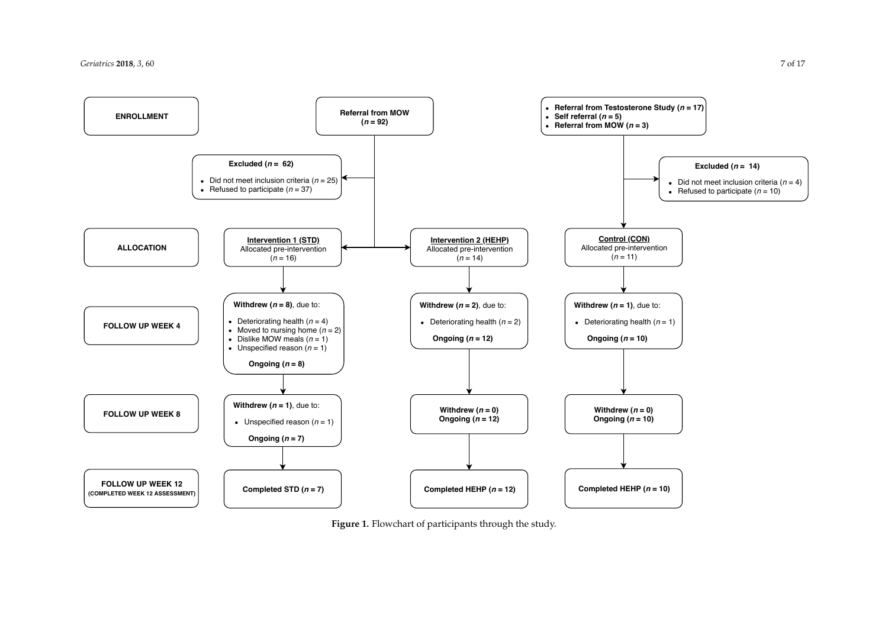<span id="page-6-0"></span>

**Figure 1.** Flowchart of participants through the study.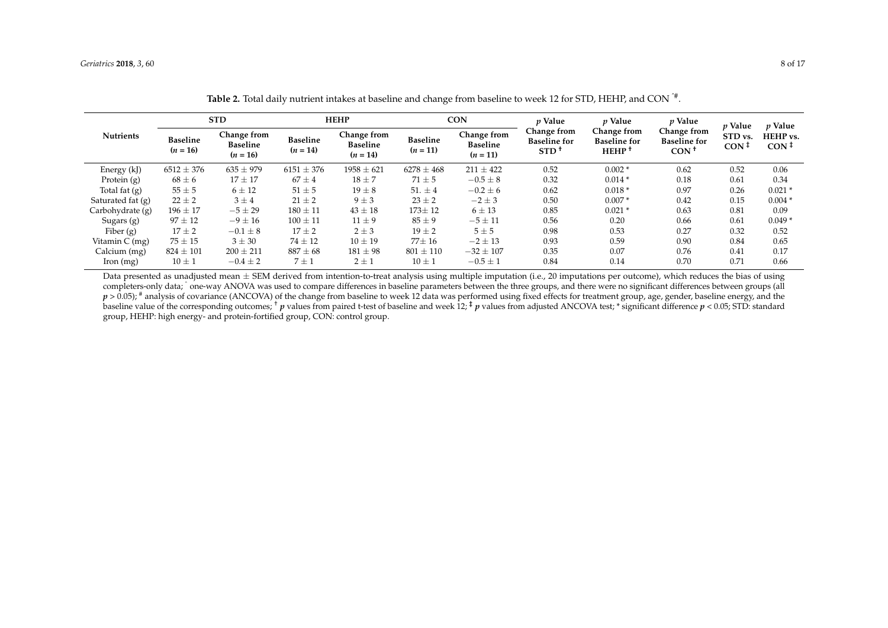|                   | <b>STD</b>                    |                                              |                               | <b>HEHP</b>                                  |                               | <b>CON</b>                                   |                                                        | p Value                                                 | $p$ Value                                    | <i>v</i> Value              | <i>v</i> Value               |
|-------------------|-------------------------------|----------------------------------------------|-------------------------------|----------------------------------------------|-------------------------------|----------------------------------------------|--------------------------------------------------------|---------------------------------------------------------|----------------------------------------------|-----------------------------|------------------------------|
| <b>Nutrients</b>  | <b>Baseline</b><br>$(n = 16)$ | Change from<br><b>Baseline</b><br>$(n = 16)$ | <b>Baseline</b><br>$(n = 14)$ | Change from<br><b>Baseline</b><br>$(n = 14)$ | <b>Baseline</b><br>$(n = 11)$ | Change from<br><b>Baseline</b><br>$(n = 11)$ | Change from<br><b>Baseline</b> for<br>STD <sup>1</sup> | Change from<br><b>Baseline for</b><br>HEHP <sup>+</sup> | Change from<br><b>Baseline for</b><br>$CON+$ | STD vs.<br>CON <sup>†</sup> | HEHP vs.<br>CON <sup>†</sup> |
| Energy (kJ)       | $6512 \pm 376$                | $635 \pm 979$                                | $6151 \pm 376$                | $1958 \pm 621$                               | $6278 \pm 468$                | $211 \pm 422$                                | 0.52                                                   | $0.002*$                                                | 0.62                                         | 0.52                        | 0.06                         |
| Protein $(g)$     | $68 \pm 6$                    | $17 \pm 17$                                  | $67 \pm 4$                    | $18 \pm 7$                                   | $71 \pm 5$                    | $-0.5 \pm 8$                                 | 0.32                                                   | $0.014*$                                                | 0.18                                         | 0.61                        | 0.34                         |
| Total fat (g)     | $55 \pm 5$                    | $6 \pm 12$                                   | $51 \pm 5$                    | $19 \pm 8$                                   | 51. $\pm$ 4                   | $-0.2 \pm 6$                                 | 0.62                                                   | $0.018*$                                                | 0.97                                         | 0.26                        | $0.021*$                     |
| Saturated fat (g) | $22 \pm 2$                    | $3 \pm 4$                                    | $21 \pm 2$                    | $9 \pm 3$                                    | $23 \pm 2$                    | $-2 \pm 3$                                   | 0.50                                                   | $0.007*$                                                | 0.42                                         | 0.15                        | $0.004*$                     |
| Carbohydrate (g)  | $196 \pm 17$                  | $-5 \pm 29$                                  | $180 \pm 11$                  | $43 \pm 18$                                  | $173 \pm 12$                  | $6 \pm 13$                                   | 0.85                                                   | $0.021*$                                                | 0.63                                         | 0.81                        | 0.09                         |
| Sugars $(g)$      | $97 \pm 12$                   | $-9 \pm 16$                                  | $100 \pm 11$                  | $11 \pm 9$                                   | $85 \pm 9$                    | $-5 \pm 11$                                  | 0.56                                                   | 0.20                                                    | 0.66                                         | 0.61                        | $0.049*$                     |
| Fiber $(g)$       | $17 \pm 2$                    | $-0.1 \pm 8$                                 | $17 \pm 2$                    | $2 \pm 3$                                    | $19 \pm 2$                    | $5 \pm 5$                                    | 0.98                                                   | 0.53                                                    | 0.27                                         | 0.32                        | 0.52                         |
| Vitamin $C$ (mg)  | $75 \pm 15$                   | $3 \pm 30$                                   | $74 \pm 12$                   | $10 \pm 19$                                  | $77 \pm 16$                   | $-2 \pm 13$                                  | 0.93                                                   | 0.59                                                    | 0.90                                         | 0.84                        | 0.65                         |
| Calcium (mg)      | $824 \pm 101$                 | $200 \pm 211$                                | $887 \pm 68$                  | $181 \pm 98$                                 | $801 \pm 110$                 | $-32 \pm 107$                                | 0.35                                                   | 0.07                                                    | 0.76                                         | 0.41                        | 0.17                         |
| $\pi$ Iron (mg)   | $10 \pm 1$                    | $-0.4 \pm 2$                                 | $7 \pm 1$                     | $2 \pm 1$                                    | $10 \pm 1$                    | $-0.5 \pm 1$                                 | 0.84                                                   | 0.14                                                    | 0.70                                         | 0.71                        | 0.66                         |

**Table 2.** Total daily nutrient intakes at baseline and change from baseline to week 12 for STD, HEHP, and CON ˆ# .

<span id="page-7-0"></span>Data presented as unadjusted mean  $\pm$  SEM derived from intention-to-treat analysis using multiple imputation (i.e., 20 imputations per outcome), which reduces the bias of using completers-only data; ^one-way ANOVA was used to compare differences in baseline parameters between the three groups, and there were no significant differences between groups (all  $p > 0.05$ ; # analysis of covariance (ANCOVA) of the change from baseline to week 12 data was performed using fixed effects for treatment group, age, gender, baseline energy, and the baseline value of the corresponding outcomes; <sup>†</sup> *p* values from paired t-test of baseline and week 12; <sup>‡</sup> *p* values from adjusted ANCOVA test; \* significant difference *p* < 0.05; STD: standard group, HEHP: high energy- and protein-fortified group, CON: control group.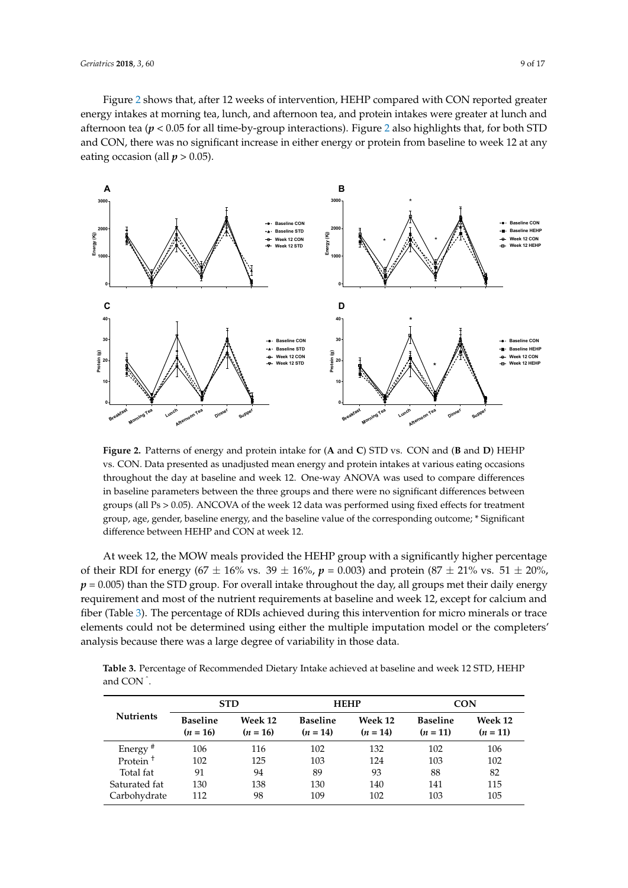Figure [2](#page-8-0) shows that, after 12 weeks of intervention, HEHP compared with CON reported greater energy intakes at morning tea, lunch, and afternoon tea, and protein intakes were greater at lunch and afternoon tea ( $p < 0.05$  for all time-by-group interactions). Figure [2](#page-8-0) also highlights that, for both STD and CON, there was no significant increase in either energy or protein from baseline to week 12 at any eating occasion (all  $p > 0.05$ ).

<span id="page-8-0"></span>

**Figure 2.** Patterns of energy and protein intake for (**A** and **C**) STD vs. CON and (**B** and **D**) HEHP vs. CON. Data presented as unadjusted mean energy and protein intakes at various eating occasions throughout the day at baseline and week 12. One-way ANOVA was used to compare differences in baseline parameters between the three groups and there were no significant differences between groups (all Ps > 0.05). ANCOVA of the week 12 data was performed using fixed effects for treatment group, age, gender, baseline energy, and the baseline value of the corresponding outcome; \* Significant difference between HEHP and CON at week 12.

At week 12, the MOW meals provided the HEHP group with a significantly higher percentage of their RDI for energy ( $67 \pm 16\%$  vs.  $39 \pm 16\%$ ,  $p = 0.003$ ) and protein ( $87 \pm 21\%$  vs.  $51 \pm 20\%$ ,  $p = 0.005$ ) than the STD group. For overall intake throughout the day, all groups met their daily energy requirement and most of the nutrient requirements at baseline and week 12, except for calcium and fiber (Table [3\)](#page-9-0). The percentage of RDIs achieved during this intervention for micro minerals or trace elements could not be determined using either the multiple imputation model or the completers' analysis because there was a large degree of variability in those data.

**Table 3.** Percentage of Recommended Dietary Intake achieved at baseline and week 12 STD, HEHP and CON <sup>ˆ</sup> .

|                      |                               | <b>STD</b>            |                               | <b>HEHP</b>           | <b>CON</b>                    |                       |  |
|----------------------|-------------------------------|-----------------------|-------------------------------|-----------------------|-------------------------------|-----------------------|--|
| <b>Nutrients</b>     | <b>Baseline</b><br>$(n = 16)$ | Week 12<br>$(n = 16)$ | <b>Baseline</b><br>$(n = 14)$ | Week 12<br>$(n = 14)$ | <b>Baseline</b><br>$(n = 11)$ | Week 12<br>$(n = 11)$ |  |
| Energy <sup>#</sup>  | 106                           | 116                   | 102                           | 132                   | 102                           | 106                   |  |
| Protein <sup>+</sup> | 102                           | 125                   | 103                           | 124                   | 103                           | 102                   |  |
| Total fat            | 91                            | 94                    | 89                            | 93                    | 88                            | 82                    |  |
| Saturated fat        | 130                           | 138                   | 130                           | 140                   | 141                           | 115                   |  |
| Carbohydrate         | 112                           | 98                    | 109                           | 102                   | 103                           | 105                   |  |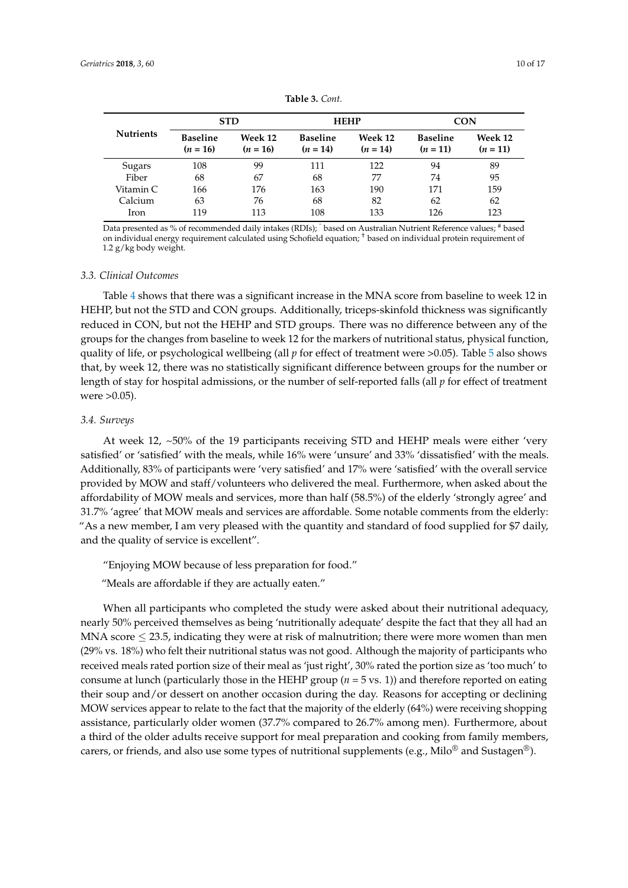<span id="page-9-0"></span>

|                  | <b>STD</b>                    |                       |                               | <b>HEHP</b>           | CON                           |                       |  |
|------------------|-------------------------------|-----------------------|-------------------------------|-----------------------|-------------------------------|-----------------------|--|
| <b>Nutrients</b> | <b>Baseline</b><br>$(n = 16)$ | Week 12<br>$(n = 16)$ | <b>Baseline</b><br>$(n = 14)$ | Week 12<br>$(n = 14)$ | <b>Baseline</b><br>$(n = 11)$ | Week 12<br>$(n = 11)$ |  |
| Sugars           | 108                           | 99                    | 111                           | 122                   | 94                            | 89                    |  |
| Fiber            | 68                            | 67                    | 68                            | 77                    | 74                            | 95                    |  |
| Vitamin C        | 166                           | 176                   | 163                           | 190                   | 171                           | 159                   |  |
| Calcium          | 63                            | 76                    | 68                            | 82                    | 62                            | 62                    |  |
| Iron             | 119                           | 113                   | 108                           | 133                   | 126                           | 123                   |  |

**Table 3.** *Cont.*

Data presented as % of recommended daily intakes (RDIs); <sup>ˆ</sup> based on Australian Nutrient Reference values; # based on individual energy requirement calculated using Schofield equation; † based on individual protein requirement of 1.2 g/kg body weight.

#### *3.3. Clinical Outcomes*

Table [4](#page-10-0) shows that there was a significant increase in the MNA score from baseline to week 12 in HEHP, but not the STD and CON groups. Additionally, triceps-skinfold thickness was significantly reduced in CON, but not the HEHP and STD groups. There was no difference between any of the groups for the changes from baseline to week 12 for the markers of nutritional status, physical function, quality of life, or psychological wellbeing (all *p* for effect of treatment were >0.05). Table [5](#page-11-0) also shows that, by week 12, there was no statistically significant difference between groups for the number or length of stay for hospital admissions, or the number of self-reported falls (all *p* for effect of treatment were >0.05).

## *3.4. Surveys*

At week 12, ~50% of the 19 participants receiving STD and HEHP meals were either 'very satisfied' or 'satisfied' with the meals, while 16% were 'unsure' and 33% 'dissatisfied' with the meals. Additionally, 83% of participants were 'very satisfied' and 17% were 'satisfied' with the overall service provided by MOW and staff/volunteers who delivered the meal. Furthermore, when asked about the affordability of MOW meals and services, more than half (58.5%) of the elderly 'strongly agree' and 31.7% 'agree' that MOW meals and services are affordable. Some notable comments from the elderly: "As a new member, I am very pleased with the quantity and standard of food supplied for \$7 daily, and the quality of service is excellent".

"Enjoying MOW because of less preparation for food."

"Meals are affordable if they are actually eaten."

When all participants who completed the study were asked about their nutritional adequacy, nearly 50% perceived themselves as being 'nutritionally adequate' despite the fact that they all had an MNA score  $\leq$  23.5, indicating they were at risk of malnutrition; there were more women than men (29% vs. 18%) who felt their nutritional status was not good. Although the majority of participants who received meals rated portion size of their meal as 'just right', 30% rated the portion size as 'too much' to consume at lunch (particularly those in the HEHP group (*n* = 5 vs. 1)) and therefore reported on eating their soup and/or dessert on another occasion during the day. Reasons for accepting or declining MOW services appear to relate to the fact that the majority of the elderly (64%) were receiving shopping assistance, particularly older women (37.7% compared to 26.7% among men). Furthermore, about a third of the older adults receive support for meal preparation and cooking from family members, carers, or friends, and also use some types of nutritional supplements (e.g., Milo® and Sustagen®).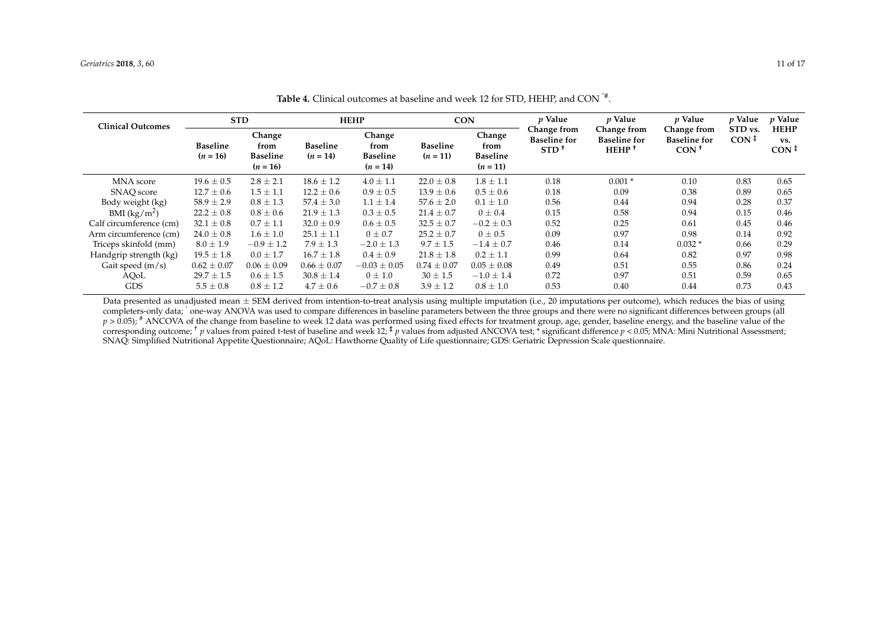| <b>Clinical Outcomes</b> | <b>STD</b>                                                                       |                 | <b>HEHP</b>                   |                                                 | <b>CON</b>                    |                                                 | <i>p</i> Value                                | p Value                                        | p Value                                      | <i>v</i> Value                   | <i>p</i> Value                         |
|--------------------------|----------------------------------------------------------------------------------|-----------------|-------------------------------|-------------------------------------------------|-------------------------------|-------------------------------------------------|-----------------------------------------------|------------------------------------------------|----------------------------------------------|----------------------------------|----------------------------------------|
|                          | Change<br><b>Baseline</b><br>from<br><b>Baseline</b><br>$(n = 16)$<br>$(n = 16)$ |                 | <b>Baseline</b><br>$(n = 14)$ | Change<br>from<br><b>Baseline</b><br>$(n = 14)$ | <b>Baseline</b><br>$(n = 11)$ | Change<br>from<br><b>Baseline</b><br>$(n = 11)$ | Change from<br><b>Baseline for</b><br>$STD^+$ | Change from<br><b>Baseline for</b><br>$HEHP^+$ | Change from<br><b>Baseline for</b><br>$CON+$ | STD vs.<br>$\text{CON} \ddagger$ | <b>HEHP</b><br>VS.<br>CON <sup>†</sup> |
| MNA score                | $19.6 \pm 0.5$                                                                   | $2.8 \pm 2.1$   | $18.6 \pm 1.2$                | $4.0 \pm 1.1$                                   | $22.0 \pm 0.8$                | $1.8 \pm 1.1$                                   | 0.18                                          | $0.001*$                                       | 0.10                                         | 0.83                             | 0.65                                   |
| SNAO score               | $12.7 \pm 0.6$                                                                   | $1.5 \pm 1.1$   | $12.2 \pm 0.6$                | $0.9 \pm 0.5$                                   | $13.9 \pm 0.6$                | $0.5 \pm 0.6$                                   | 0.18                                          | 0.09                                           | 0.38                                         | 0.89                             | 0.65                                   |
| Body weight (kg)         | $58.9 \pm 2.9$                                                                   | $0.8 \pm 1.3$   | $57.4 \pm 3.0$                | $1.1 \pm 1.4$                                   | $57.6 \pm 2.0$                | $0.1 \pm 1.0$                                   | 0.56                                          | 0.44                                           | 0.94                                         | 0.28                             | 0.37                                   |
| BMI $(kg/m2)$            | $22.2 \pm 0.8$                                                                   | $0.8 \pm 0.6$   | $21.9 \pm 1.3$                | $0.3 \pm 0.5$                                   | $21.4 \pm 0.7$                | $0 \pm 0.4$                                     | 0.15                                          | 0.58                                           | 0.94                                         | 0.15                             | 0.46                                   |
| Calf circumference (cm)  | $32.1 \pm 0.8$                                                                   | $0.7 \pm 1.1$   | $32.0 \pm 0.9$                | $0.6 \pm 0.5$                                   | $32.5 \pm 0.7$                | $-0.2 \pm 0.3$                                  | 0.52                                          | 0.25                                           | 0.61                                         | 0.45                             | 0.46                                   |
| Arm circumference (cm)   | $24.0 \pm 0.8$                                                                   | $1.6 \pm 1.0$   | $25.1 \pm 1.1$                | $0 \pm 0.7$                                     | $25.2 \pm 0.7$                | $0 \pm 0.5$                                     | 0.09                                          | 0.97                                           | 0.98                                         | 0.14                             | 0.92                                   |
| Triceps skinfold (mm)    | $8.0 \pm 1.9$                                                                    | $-0.9 \pm 1.2$  | $7.9 \pm 1.3$                 | $-2.0 \pm 1.3$                                  | $9.7 \pm 1.5$                 | $-1.4 \pm 0.7$                                  | 0.46                                          | 0.14                                           | $0.032*$                                     | 0.66                             | 0.29                                   |
| Handgrip strength (kg)   | $19.5 \pm 1.8$                                                                   | $0.0 \pm 1.7$   | $16.7 \pm 1.8$                | $0.4 \pm 0.9$                                   | $21.8 \pm 1.8$                | $0.2 \pm 1.1$                                   | 0.99                                          | 0.64                                           | 0.82                                         | 0.97                             | 0.98                                   |
| Gait speed $(m/s)$       | $0.62 \pm 0.07$                                                                  | $0.06 \pm 0.09$ | $0.66 \pm 0.07$               | $-0.03 \pm 0.05$                                | $0.74 \pm 0.07$               | $0.05 \pm 0.08$                                 | 0.49                                          | 0.51                                           | 0.55                                         | 0.86                             | 0.24                                   |
| AQoL                     | $29.7 \pm 1.5$                                                                   | $0.6 \pm 1.5$   | $30.8 \pm 1.4$                | $0 \pm 1.0$                                     | $30 \pm 1.5$                  | $-1.0 \pm 1.4$                                  | 0.72                                          | 0.97                                           | 0.51                                         | 0.59                             | 0.65                                   |
| <b>GDS</b>               | $5.5 \pm 0.8$                                                                    | $0.8 \pm 1.2$   | $4.7 \pm 0.6$                 | $-0.7 \pm 0.8$                                  | $3.9 \pm 1.2$                 | $0.8 \pm 1.0$                                   | 0.53                                          | 0.40                                           | 0.44                                         | 0.73                             | 0.43                                   |

**Table 4.** Clinical outcomes at baseline and week 12 for STD, HEHP, and CON ˆ# .

<span id="page-10-0"></span>Data presented as unadjusted mean  $\pm$  SEM derived from intention-to-treat analysis using multiple imputation (i.e., 20 imputations per outcome), which reduces the bias of using completers-only data; ^one-way ANOVA was used to compare differences in baseline parameters between the three groups and there were no significant differences between groups (all  $p > 0.05$ ; # ANCOVA of the change from baseline to week 12 data was performed using fixed effects for treatment group, age, gender, baseline energy, and the baseline value of the corresponding outcome; <sup>†</sup> *p* values from paired t-test of baseline and week 12;  $\frac{1}{2}$  *p* values from adjusted ANCOVA test; \* significant difference *p* < 0.05; MNA: Mini Nutritional Assessment; SNAQ: Simplified Nutritional Appetite Questionnaire; AQoL: Hawthorne Quality of Life questionnaire; GDS: Geriatric Depression Scale questionnaire.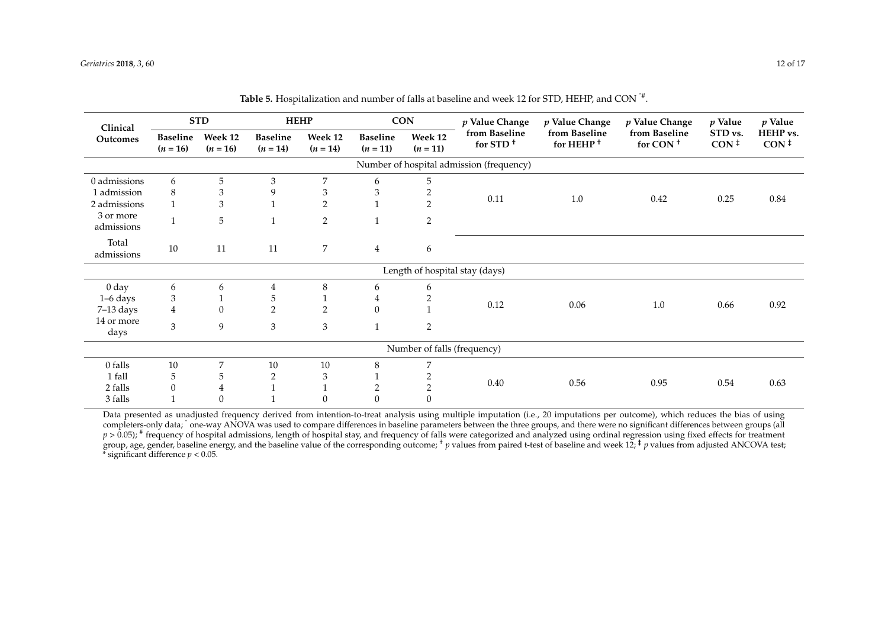| Clinical                                 | <b>STD</b>                    |                       | <b>HEHP</b>                   |                       | <b>CON</b>                    |                       | $p$ Value Change                      | $p$ Value Change                       | $p$ Value Change                      | $p$ Value                   | p Value                      |
|------------------------------------------|-------------------------------|-----------------------|-------------------------------|-----------------------|-------------------------------|-----------------------|---------------------------------------|----------------------------------------|---------------------------------------|-----------------------------|------------------------------|
| Outcomes                                 | <b>Baseline</b><br>$(n = 16)$ | Week 12<br>$(n = 16)$ | <b>Baseline</b><br>$(n = 14)$ | Week 12<br>$(n = 14)$ | <b>Baseline</b><br>$(n = 11)$ | Week 12<br>$(n = 11)$ | from Baseline<br>for STD <sup>+</sup> | from Baseline<br>for HEHP <sup>+</sup> | from Baseline<br>for CON <sup>+</sup> | STD vs.<br>$CON^{\ddagger}$ | HEHP vs.<br>CON <sup>†</sup> |
| Number of hospital admission (frequency) |                               |                       |                               |                       |                               |                       |                                       |                                        |                                       |                             |                              |
| 0 admissions                             | 6                             | 5                     | 3                             | 7                     | 6                             | 5                     |                                       |                                        |                                       |                             |                              |
| 1 admission                              | 8                             | 3                     | 9                             | 3                     | 3                             |                       |                                       |                                        |                                       |                             |                              |
| 2 admissions                             |                               | 3                     |                               | $\overline{2}$        |                               | $\overline{2}$        | 0.11                                  | 1.0                                    | 0.42                                  | 0.25                        | 0.84                         |
| 3 or more<br>admissions                  |                               | 5                     | $\mathbf{1}$                  | $\overline{2}$        | $\mathbf{1}$                  | $\overline{2}$        |                                       |                                        |                                       |                             |                              |
| Total<br>admissions                      | 10                            | 11                    | 11                            | 7                     | $\overline{4}$                | 6                     |                                       |                                        |                                       |                             |                              |
|                                          |                               |                       |                               |                       |                               |                       | Length of hospital stay (days)        |                                        |                                       |                             |                              |
| 0 <sub>day</sub>                         | 6                             | 6                     | 4                             | 8                     | 6                             | 6                     |                                       |                                        |                                       |                             |                              |
| $1-6$ days                               | 3                             |                       | 5                             |                       | 4                             |                       |                                       |                                        |                                       |                             |                              |
| $7-13$ days                              | $\overline{4}$                | $\mathbf{0}$          | $\overline{2}$                | $\overline{2}$        | $\theta$                      |                       | 0.12                                  | 0.06                                   | 1.0                                   | 0.66                        | 0.92                         |
| 14 or more<br>days                       | 3                             | $\mathbf{9}$          | 3                             | 3                     | $\mathbf{1}$                  | $\overline{2}$        |                                       |                                        |                                       |                             |                              |
| Number of falls (frequency)              |                               |                       |                               |                       |                               |                       |                                       |                                        |                                       |                             |                              |
| 0 falls                                  | 10                            | 7                     | 10                            | 10                    | 8                             | 7                     |                                       |                                        |                                       |                             |                              |
| 1 fall                                   | 5                             | 5                     | 2                             | 3                     |                               |                       |                                       |                                        |                                       |                             |                              |
| 2 falls                                  | $\Omega$                      | 4                     |                               |                       | 2                             |                       | 0.40                                  | 0.56                                   | 0.95                                  | 0.54                        | 0.63                         |
| 3 falls                                  |                               | $\boldsymbol{0}$      |                               | 0                     | 0                             | 0                     |                                       |                                        |                                       |                             |                              |

**Table 5.** Hospitalization and number of falls at baseline and week 12 for STD, HEHP, and CON ˆ# .

<span id="page-11-0"></span>Data presented as unadjusted frequency derived from intention-to-treat analysis using multiple imputation (i.e., 20 imputations per outcome), which reduces the bias of using completers-only data; `one-way ANOVA was used to compare differences in baseline parameters between the three groups, and there were no significant differences between groups (all p > 0.05); <sup>#</sup> frequency of hospital admissions, length of hospital stay, and frequency of falls were categorized and analyzed using ordinal regression using fixed effects for treatment group, age, gender, baseline energy, and the baseline value of the corresponding outcome;  $\dagger$  *p* values from paired t-test of baseline and week 12;  $\ddagger$  *p* values from adjusted ANCOVA test; \* significant difference *p* < 0.05.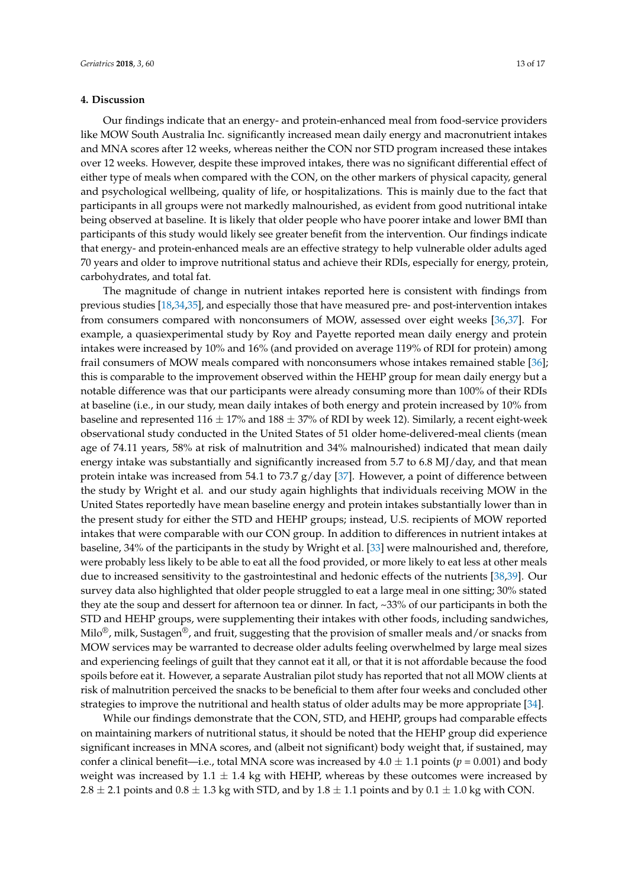# **4. Discussion**

Our findings indicate that an energy- and protein-enhanced meal from food-service providers like MOW South Australia Inc. significantly increased mean daily energy and macronutrient intakes and MNA scores after 12 weeks, whereas neither the CON nor STD program increased these intakes over 12 weeks. However, despite these improved intakes, there was no significant differential effect of either type of meals when compared with the CON, on the other markers of physical capacity, general and psychological wellbeing, quality of life, or hospitalizations. This is mainly due to the fact that participants in all groups were not markedly malnourished, as evident from good nutritional intake being observed at baseline. It is likely that older people who have poorer intake and lower BMI than participants of this study would likely see greater benefit from the intervention. Our findings indicate that energy- and protein-enhanced meals are an effective strategy to help vulnerable older adults aged 70 years and older to improve nutritional status and achieve their RDIs, especially for energy, protein, carbohydrates, and total fat.

The magnitude of change in nutrient intakes reported here is consistent with findings from previous studies [\[18](#page-15-9)[,34](#page-16-5)[,35\]](#page-16-6), and especially those that have measured pre- and post-intervention intakes from consumers compared with nonconsumers of MOW, assessed over eight weeks [\[36](#page-16-7)[,37\]](#page-16-8). For example, a quasiexperimental study by Roy and Payette reported mean daily energy and protein intakes were increased by 10% and 16% (and provided on average 119% of RDI for protein) among frail consumers of MOW meals compared with nonconsumers whose intakes remained stable [\[36\]](#page-16-7); this is comparable to the improvement observed within the HEHP group for mean daily energy but a notable difference was that our participants were already consuming more than 100% of their RDIs at baseline (i.e., in our study, mean daily intakes of both energy and protein increased by 10% from baseline and represented 116  $\pm$  17% and 188  $\pm$  37% of RDI by week 12). Similarly, a recent eight-week observational study conducted in the United States of 51 older home-delivered-meal clients (mean age of 74.11 years, 58% at risk of malnutrition and 34% malnourished) indicated that mean daily energy intake was substantially and significantly increased from 5.7 to 6.8 MJ/day, and that mean protein intake was increased from 54.1 to 73.7 g/day [\[37\]](#page-16-8). However, a point of difference between the study by Wright et al. and our study again highlights that individuals receiving MOW in the United States reportedly have mean baseline energy and protein intakes substantially lower than in the present study for either the STD and HEHP groups; instead, U.S. recipients of MOW reported intakes that were comparable with our CON group. In addition to differences in nutrient intakes at baseline, 34% of the participants in the study by Wright et al. [\[33\]](#page-16-4) were malnourished and, therefore, were probably less likely to be able to eat all the food provided, or more likely to eat less at other meals due to increased sensitivity to the gastrointestinal and hedonic effects of the nutrients [\[38](#page-16-9)[,39\]](#page-16-10). Our survey data also highlighted that older people struggled to eat a large meal in one sitting; 30% stated they ate the soup and dessert for afternoon tea or dinner. In fact, ~33% of our participants in both the STD and HEHP groups, were supplementing their intakes with other foods, including sandwiches, Milo<sup>®</sup>, milk, Sustagen<sup>®</sup>, and fruit, suggesting that the provision of smaller meals and/or snacks from MOW services may be warranted to decrease older adults feeling overwhelmed by large meal sizes and experiencing feelings of guilt that they cannot eat it all, or that it is not affordable because the food spoils before eat it. However, a separate Australian pilot study has reported that not all MOW clients at risk of malnutrition perceived the snacks to be beneficial to them after four weeks and concluded other strategies to improve the nutritional and health status of older adults may be more appropriate [\[34\]](#page-16-5).

While our findings demonstrate that the CON, STD, and HEHP, groups had comparable effects on maintaining markers of nutritional status, it should be noted that the HEHP group did experience significant increases in MNA scores, and (albeit not significant) body weight that, if sustained, may confer a clinical benefit—i.e., total MNA score was increased by  $4.0 \pm 1.1$  points ( $p = 0.001$ ) and body weight was increased by  $1.1 \pm 1.4$  kg with HEHP, whereas by these outcomes were increased by 2.8  $\pm$  2.1 points and 0.8  $\pm$  1.3 kg with STD, and by 1.8  $\pm$  1.1 points and by 0.1  $\pm$  1.0 kg with CON.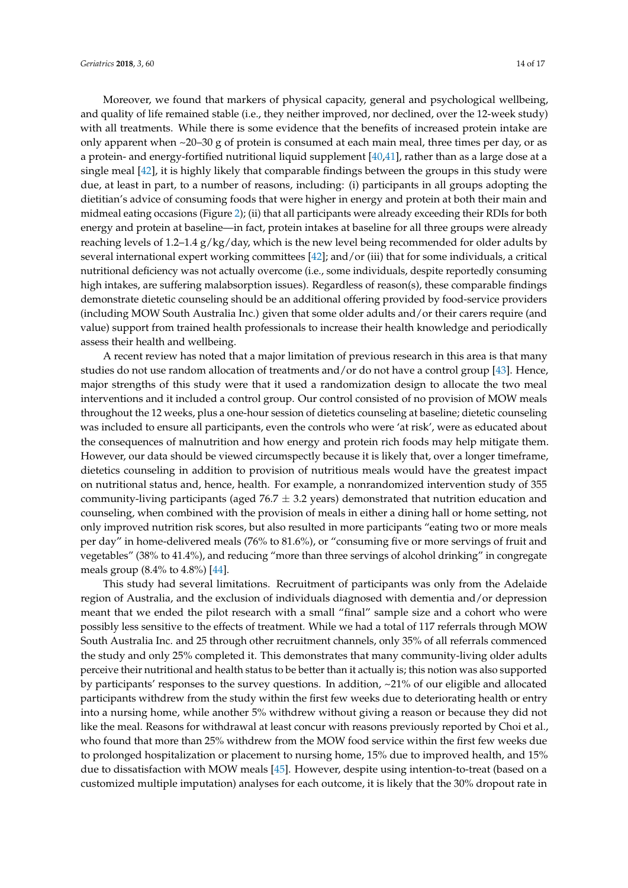Moreover, we found that markers of physical capacity, general and psychological wellbeing, and quality of life remained stable (i.e., they neither improved, nor declined, over the 12-week study) with all treatments. While there is some evidence that the benefits of increased protein intake are only apparent when ~20–30 g of protein is consumed at each main meal, three times per day, or as a protein- and energy-fortified nutritional liquid supplement [\[40,](#page-16-11)[41\]](#page-16-12), rather than as a large dose at a single meal [\[42\]](#page-16-13), it is highly likely that comparable findings between the groups in this study were due, at least in part, to a number of reasons, including: (i) participants in all groups adopting the dietitian's advice of consuming foods that were higher in energy and protein at both their main and midmeal eating occasions (Figure [2\)](#page-8-0); (ii) that all participants were already exceeding their RDIs for both energy and protein at baseline—in fact, protein intakes at baseline for all three groups were already reaching levels of 1.2–1.4 g/kg/day, which is the new level being recommended for older adults by several international expert working committees [\[42\]](#page-16-13); and/or (iii) that for some individuals, a critical nutritional deficiency was not actually overcome (i.e., some individuals, despite reportedly consuming high intakes, are suffering malabsorption issues). Regardless of reason(s), these comparable findings demonstrate dietetic counseling should be an additional offering provided by food-service providers (including MOW South Australia Inc.) given that some older adults and/or their carers require (and value) support from trained health professionals to increase their health knowledge and periodically assess their health and wellbeing.

A recent review has noted that a major limitation of previous research in this area is that many studies do not use random allocation of treatments and/or do not have a control group [\[43\]](#page-16-14). Hence, major strengths of this study were that it used a randomization design to allocate the two meal interventions and it included a control group. Our control consisted of no provision of MOW meals throughout the 12 weeks, plus a one-hour session of dietetics counseling at baseline; dietetic counseling was included to ensure all participants, even the controls who were 'at risk', were as educated about the consequences of malnutrition and how energy and protein rich foods may help mitigate them. However, our data should be viewed circumspectly because it is likely that, over a longer timeframe, dietetics counseling in addition to provision of nutritious meals would have the greatest impact on nutritional status and, hence, health. For example, a nonrandomized intervention study of 355 community-living participants (aged  $76.7 \pm 3.2$  years) demonstrated that nutrition education and counseling, when combined with the provision of meals in either a dining hall or home setting, not only improved nutrition risk scores, but also resulted in more participants "eating two or more meals per day" in home-delivered meals (76% to 81.6%), or "consuming five or more servings of fruit and vegetables" (38% to 41.4%), and reducing "more than three servings of alcohol drinking" in congregate meals group (8.4% to 4.8%) [\[44\]](#page-16-15).

This study had several limitations. Recruitment of participants was only from the Adelaide region of Australia, and the exclusion of individuals diagnosed with dementia and/or depression meant that we ended the pilot research with a small "final" sample size and a cohort who were possibly less sensitive to the effects of treatment. While we had a total of 117 referrals through MOW South Australia Inc. and 25 through other recruitment channels, only 35% of all referrals commenced the study and only 25% completed it. This demonstrates that many community-living older adults perceive their nutritional and health status to be better than it actually is; this notion was also supported by participants' responses to the survey questions. In addition, ~21% of our eligible and allocated participants withdrew from the study within the first few weeks due to deteriorating health or entry into a nursing home, while another 5% withdrew without giving a reason or because they did not like the meal. Reasons for withdrawal at least concur with reasons previously reported by Choi et al., who found that more than 25% withdrew from the MOW food service within the first few weeks due to prolonged hospitalization or placement to nursing home, 15% due to improved health, and 15% due to dissatisfaction with MOW meals [\[45\]](#page-16-16). However, despite using intention-to-treat (based on a customized multiple imputation) analyses for each outcome, it is likely that the 30% dropout rate in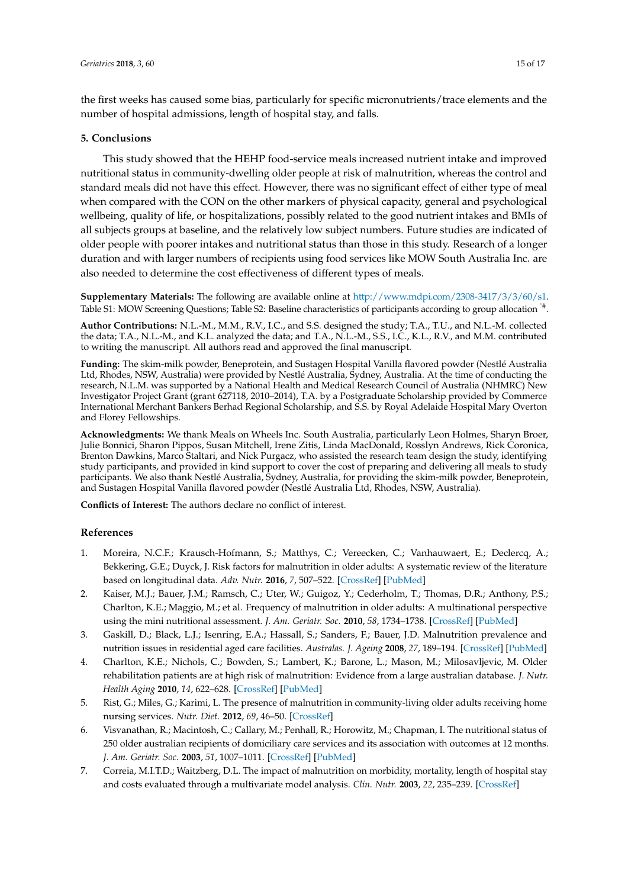the first weeks has caused some bias, particularly for specific micronutrients/trace elements and the number of hospital admissions, length of hospital stay, and falls.

# **5. Conclusions**

This study showed that the HEHP food-service meals increased nutrient intake and improved nutritional status in community-dwelling older people at risk of malnutrition, whereas the control and standard meals did not have this effect. However, there was no significant effect of either type of meal when compared with the CON on the other markers of physical capacity, general and psychological wellbeing, quality of life, or hospitalizations, possibly related to the good nutrient intakes and BMIs of all subjects groups at baseline, and the relatively low subject numbers. Future studies are indicated of older people with poorer intakes and nutritional status than those in this study. Research of a longer duration and with larger numbers of recipients using food services like MOW South Australia Inc. are also needed to determine the cost effectiveness of different types of meals.

**Supplementary Materials:** The following are available online at [http://www.mdpi.com/2308-3417/3/3/60/s1.](http://www.mdpi.com/2308-3417/3/3/60/s1) Table S1: MOW Screening Questions; Table S2: Baseline characteristics of participants according to group allocation  $\hat{}^*$ .

**Author Contributions:** N.L.-M., M.M., R.V., I.C., and S.S. designed the study; T.A., T.U., and N.L.-M. collected the data; T.A., N.L.-M., and K.L. analyzed the data; and T.A., N.L.-M., S.S., I.C., K.L., R.V., and M.M. contributed to writing the manuscript. All authors read and approved the final manuscript.

**Funding:** The skim-milk powder, Beneprotein, and Sustagen Hospital Vanilla flavored powder (Nestlé Australia Ltd, Rhodes, NSW, Australia) were provided by Nestlé Australia, Sydney, Australia. At the time of conducting the research, N.L.M. was supported by a National Health and Medical Research Council of Australia (NHMRC) New Investigator Project Grant (grant 627118, 2010–2014), T.A. by a Postgraduate Scholarship provided by Commerce International Merchant Bankers Berhad Regional Scholarship, and S.S. by Royal Adelaide Hospital Mary Overton and Florey Fellowships.

**Acknowledgments:** We thank Meals on Wheels Inc. South Australia, particularly Leon Holmes, Sharyn Broer, Julie Bonnici, Sharon Pippos, Susan Mitchell, Irene Zitis, Linda MacDonald, Rosslyn Andrews, Rick Coronica, Brenton Dawkins, Marco Staltari, and Nick Purgacz, who assisted the research team design the study, identifying study participants, and provided in kind support to cover the cost of preparing and delivering all meals to study participants. We also thank Nestlé Australia, Sydney, Australia, for providing the skim-milk powder, Beneprotein, and Sustagen Hospital Vanilla flavored powder (Nestlé Australia Ltd, Rhodes, NSW, Australia).

**Conflicts of Interest:** The authors declare no conflict of interest.

## **References**

- <span id="page-14-0"></span>1. Moreira, N.C.F.; Krausch-Hofmann, S.; Matthys, C.; Vereecken, C.; Vanhauwaert, E.; Declercq, A.; Bekkering, G.E.; Duyck, J. Risk factors for malnutrition in older adults: A systematic review of the literature based on longitudinal data. *Adv. Nutr.* **2016**, *7*, 507–522. [\[CrossRef\]](http://dx.doi.org/10.3945/an.115.011254) [\[PubMed\]](http://www.ncbi.nlm.nih.gov/pubmed/27184278)
- <span id="page-14-1"></span>2. Kaiser, M.J.; Bauer, J.M.; Ramsch, C.; Uter, W.; Guigoz, Y.; Cederholm, T.; Thomas, D.R.; Anthony, P.S.; Charlton, K.E.; Maggio, M.; et al. Frequency of malnutrition in older adults: A multinational perspective using the mini nutritional assessment. *J. Am. Geriatr. Soc.* **2010**, *58*, 1734–1738. [\[CrossRef\]](http://dx.doi.org/10.1111/j.1532-5415.2010.03016.x) [\[PubMed\]](http://www.ncbi.nlm.nih.gov/pubmed/20863332)
- <span id="page-14-2"></span>3. Gaskill, D.; Black, L.J.; Isenring, E.A.; Hassall, S.; Sanders, F.; Bauer, J.D. Malnutrition prevalence and nutrition issues in residential aged care facilities. *Australas. J. Ageing* **2008**, *27*, 189–194. [\[CrossRef\]](http://dx.doi.org/10.1111/j.1741-6612.2008.00324.x) [\[PubMed\]](http://www.ncbi.nlm.nih.gov/pubmed/19032620)
- <span id="page-14-3"></span>4. Charlton, K.E.; Nichols, C.; Bowden, S.; Lambert, K.; Barone, L.; Mason, M.; Milosavljevic, M. Older rehabilitation patients are at high risk of malnutrition: Evidence from a large australian database. *J. Nutr. Health Aging* **2010**, *14*, 622–628. [\[CrossRef\]](http://dx.doi.org/10.1007/s12603-010-0307-3) [\[PubMed\]](http://www.ncbi.nlm.nih.gov/pubmed/20922337)
- <span id="page-14-4"></span>5. Rist, G.; Miles, G.; Karimi, L. The presence of malnutrition in community-living older adults receiving home nursing services. *Nutr. Diet.* **2012**, *69*, 46–50. [\[CrossRef\]](http://dx.doi.org/10.1111/j.1747-0080.2011.01572.x)
- <span id="page-14-5"></span>6. Visvanathan, R.; Macintosh, C.; Callary, M.; Penhall, R.; Horowitz, M.; Chapman, I. The nutritional status of 250 older australian recipients of domiciliary care services and its association with outcomes at 12 months. *J. Am. Geriatr. Soc.* **2003**, *51*, 1007–1011. [\[CrossRef\]](http://dx.doi.org/10.1046/j.1365-2389.2003.51317.x) [\[PubMed\]](http://www.ncbi.nlm.nih.gov/pubmed/12834523)
- <span id="page-14-6"></span>7. Correia, M.I.T.D.; Waitzberg, D.L. The impact of malnutrition on morbidity, mortality, length of hospital stay and costs evaluated through a multivariate model analysis. *Clin. Nutr.* **2003**, *22*, 235–239. [\[CrossRef\]](http://dx.doi.org/10.1016/S0261-5614(02)00215-7)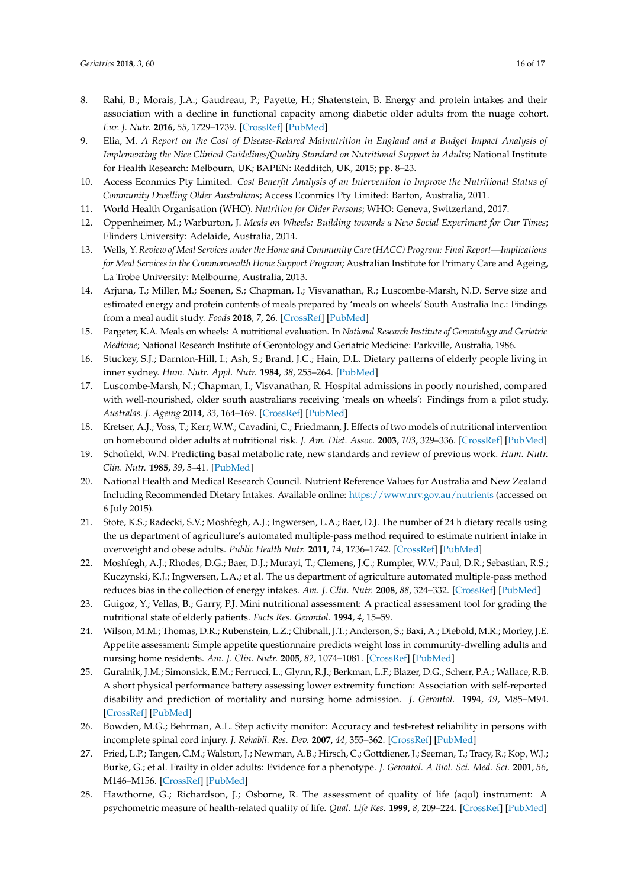- <span id="page-15-0"></span>8. Rahi, B.; Morais, J.A.; Gaudreau, P.; Payette, H.; Shatenstein, B. Energy and protein intakes and their association with a decline in functional capacity among diabetic older adults from the nuage cohort. *Eur. J. Nutr.* **2016**, *55*, 1729–1739. [\[CrossRef\]](http://dx.doi.org/10.1007/s00394-015-0991-1) [\[PubMed\]](http://www.ncbi.nlm.nih.gov/pubmed/26179475)
- <span id="page-15-1"></span>9. Elia, M. *A Report on the Cost of Disease-Relared Malnutrition in England and a Budget Impact Analysis of Implementing the Nice Clinical Guidelines/Quality Standard on Nutritional Support in Adults; National Institute* for Health Research: Melbourn, UK; BAPEN: Redditch, UK, 2015; pp. 8–23.
- 10. Access Econmics Pty Limited. *Cost Benerfit Analysis of an Intervention to Improve the Nutritional Status of Community Dwelling Older Australians*; Access Econmics Pty Limited: Barton, Australia, 2011.
- <span id="page-15-2"></span>11. World Health Organisation (WHO). *Nutrition for Older Persons*; WHO: Geneva, Switzerland, 2017.
- <span id="page-15-3"></span>12. Oppenheimer, M.; Warburton, J. *Meals on Wheels: Building towards a New Social Experiment for Our Times*; Flinders University: Adelaide, Australia, 2014.
- <span id="page-15-4"></span>13. Wells, Y. *Review of Meal Services under the Home and Community Care (HACC) Program: Final Report—Implications for Meal Services in the Commonwealth Home Support Program*; Australian Institute for Primary Care and Ageing, La Trobe University: Melbourne, Australia, 2013.
- <span id="page-15-5"></span>14. Arjuna, T.; Miller, M.; Soenen, S.; Chapman, I.; Visvanathan, R.; Luscombe-Marsh, N.D. Serve size and estimated energy and protein contents of meals prepared by 'meals on wheels' South Australia Inc.: Findings from a meal audit study. *Foods* **2018**, *7*, 26. [\[CrossRef\]](http://dx.doi.org/10.3390/foods7020026) [\[PubMed\]](http://www.ncbi.nlm.nih.gov/pubmed/29461476)
- <span id="page-15-6"></span>15. Pargeter, K.A. Meals on wheels: A nutritional evaluation. In *National Research Institute of Gerontology and Geriatric Medicine*; National Research Institute of Gerontology and Geriatric Medicine: Parkville, Australia, 1986.
- <span id="page-15-7"></span>16. Stuckey, S.J.; Darnton-Hill, I.; Ash, S.; Brand, J.C.; Hain, D.L. Dietary patterns of elderly people living in inner sydney. *Hum. Nutr. Appl. Nutr.* **1984**, *38*, 255–264. [\[PubMed\]](http://www.ncbi.nlm.nih.gov/pubmed/6490393)
- <span id="page-15-8"></span>17. Luscombe-Marsh, N.; Chapman, I.; Visvanathan, R. Hospital admissions in poorly nourished, compared with well-nourished, older south australians receiving 'meals on wheels': Findings from a pilot study. *Australas. J. Ageing* **2014**, *33*, 164–169. [\[CrossRef\]](http://dx.doi.org/10.1111/ajag.12009) [\[PubMed\]](http://www.ncbi.nlm.nih.gov/pubmed/24521421)
- <span id="page-15-9"></span>18. Kretser, A.J.; Voss, T.; Kerr, W.W.; Cavadini, C.; Friedmann, J. Effects of two models of nutritional intervention on homebound older adults at nutritional risk. *J. Am. Diet. Assoc.* **2003**, *103*, 329–336. [\[CrossRef\]](http://dx.doi.org/10.1053/jada.2003.50052) [\[PubMed\]](http://www.ncbi.nlm.nih.gov/pubmed/12616254)
- <span id="page-15-10"></span>19. Schofield, W.N. Predicting basal metabolic rate, new standards and review of previous work. *Hum. Nutr. Clin. Nutr.* **1985**, *39*, 5–41. [\[PubMed\]](http://www.ncbi.nlm.nih.gov/pubmed/4044297)
- <span id="page-15-11"></span>20. National Health and Medical Research Council. Nutrient Reference Values for Australia and New Zealand Including Recommended Dietary Intakes. Available online: <https://www.nrv.gov.au/nutrients> (accessed on 6 July 2015).
- <span id="page-15-12"></span>21. Stote, K.S.; Radecki, S.V.; Moshfegh, A.J.; Ingwersen, L.A.; Baer, D.J. The number of 24 h dietary recalls using the us department of agriculture's automated multiple-pass method required to estimate nutrient intake in overweight and obese adults. *Public Health Nutr.* **2011**, *14*, 1736–1742. [\[CrossRef\]](http://dx.doi.org/10.1017/S1368980011000358) [\[PubMed\]](http://www.ncbi.nlm.nih.gov/pubmed/21414246)
- <span id="page-15-13"></span>22. Moshfegh, A.J.; Rhodes, D.G.; Baer, D.J.; Murayi, T.; Clemens, J.C.; Rumpler, W.V.; Paul, D.R.; Sebastian, R.S.; Kuczynski, K.J.; Ingwersen, L.A.; et al. The us department of agriculture automated multiple-pass method reduces bias in the collection of energy intakes. *Am. J. Clin. Nutr.* **2008**, *88*, 324–332. [\[CrossRef\]](http://dx.doi.org/10.1093/ajcn/88.2.324) [\[PubMed\]](http://www.ncbi.nlm.nih.gov/pubmed/18689367)
- <span id="page-15-14"></span>23. Guigoz, Y.; Vellas, B.; Garry, P.J. Mini nutritional assessment: A practical assessment tool for grading the nutritional state of elderly patients. *Facts Res. Gerontol.* **1994**, *4*, 15–59.
- <span id="page-15-15"></span>24. Wilson, M.M.; Thomas, D.R.; Rubenstein, L.Z.; Chibnall, J.T.; Anderson, S.; Baxi, A.; Diebold, M.R.; Morley, J.E. Appetite assessment: Simple appetite questionnaire predicts weight loss in community-dwelling adults and nursing home residents. *Am. J. Clin. Nutr.* **2005**, *82*, 1074–1081. [\[CrossRef\]](http://dx.doi.org/10.1093/ajcn/82.5.1074) [\[PubMed\]](http://www.ncbi.nlm.nih.gov/pubmed/16280441)
- <span id="page-15-16"></span>25. Guralnik, J.M.; Simonsick, E.M.; Ferrucci, L.; Glynn, R.J.; Berkman, L.F.; Blazer, D.G.; Scherr, P.A.; Wallace, R.B. A short physical performance battery assessing lower extremity function: Association with self-reported disability and prediction of mortality and nursing home admission. *J. Gerontol.* **1994**, *49*, M85–M94. [\[CrossRef\]](http://dx.doi.org/10.1093/geronj/49.2.M85) [\[PubMed\]](http://www.ncbi.nlm.nih.gov/pubmed/8126356)
- 26. Bowden, M.G.; Behrman, A.L. Step activity monitor: Accuracy and test-retest reliability in persons with incomplete spinal cord injury. *J. Rehabil. Res. Dev.* **2007**, *44*, 355–362. [\[CrossRef\]](http://dx.doi.org/10.1682/JRRD.2006.03.0033) [\[PubMed\]](http://www.ncbi.nlm.nih.gov/pubmed/18247232)
- <span id="page-15-17"></span>27. Fried, L.P.; Tangen, C.M.; Walston, J.; Newman, A.B.; Hirsch, C.; Gottdiener, J.; Seeman, T.; Tracy, R.; Kop, W.J.; Burke, G.; et al. Frailty in older adults: Evidence for a phenotype. *J. Gerontol. A Biol. Sci. Med. Sci.* **2001**, *56*, M146–M156. [\[CrossRef\]](http://dx.doi.org/10.1093/gerona/56.3.M146) [\[PubMed\]](http://www.ncbi.nlm.nih.gov/pubmed/11253156)
- <span id="page-15-18"></span>28. Hawthorne, G.; Richardson, J.; Osborne, R. The assessment of quality of life (aqol) instrument: A psychometric measure of health-related quality of life. *Qual. Life Res.* **1999**, *8*, 209–224. [\[CrossRef\]](http://dx.doi.org/10.1023/A:1008815005736) [\[PubMed\]](http://www.ncbi.nlm.nih.gov/pubmed/10472152)